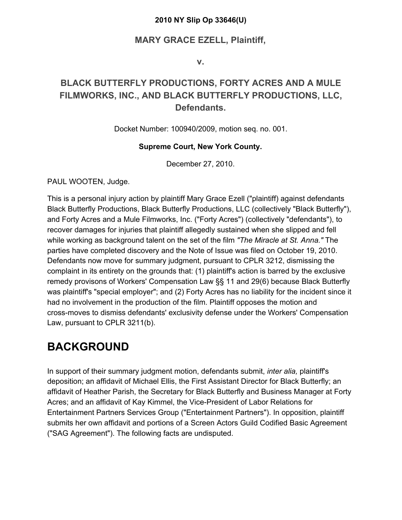#### **2010 NY Slip Op 33646(U)**

#### **MARY GRACE EZELL, Plaintiff,**

**v.**

#### **BLACK BUTTERFLY PRODUCTIONS, FORTY ACRES AND A MULE FILMWORKS, INC., AND BLACK BUTTERFLY PRODUCTIONS, LLC, Defendants.**

Docket Number: 100940/2009, motion seq. no. 001.

#### **Supreme Court, New York County.**

December 27, 2010.

PAUL WOOTEN, Judge.

This is a personal injury action by plaintiff Mary Grace Ezell ("plaintiff) against defendants Black Butterfly Productions, Black Butterfly Productions, LLC (collectively "Black Butterfly"), and Forty Acres and a Mule Filmworks, Inc. ("Forty Acres") (collectively "defendants"), to recover damages for injuries that plaintiff allegedly sustained when she slipped and fell while working as background talent on the set of the film *"The Miracle at St. Anna."* The parties have completed discovery and the Note of Issue was filed on October 19, 2010. Defendants now move for summary judgment, pursuant to CPLR 3212, dismissing the complaint in its entirety on the grounds that: (1) plaintiff's action is barred by the exclusive remedy provisons of Workers' Compensation Law §§ 11 and 29(6) because Black Butterfly was plaintiff's "special employer"; and (2) Forty Acres has no liability for the incident since it had no involvement in the production of the film. Plaintiff opposes the motion and cross-moves to dismiss defendants' exclusivity defense under the Workers' Compensation Law, pursuant to CPLR 3211(b).

#### **BACKGROUND**

In support of their summary judgment motion, defendants submit, *inter alia,* plaintiff's deposition; an affidavit of Michael Ellis, the First Assistant Director for Black Butterfly; an affidavit of Heather Parish, the Secretary for Black Butterfly and Business Manager at Forty Acres; and an affidavit of Kay Kimmel, the Vice-President of Labor Relations for Entertainment Partners Services Group ("Entertainment Partners"). In opposition, plaintiff submits her own affidavit and portions of a Screen Actors Guild Codified Basic Agreement ("SAG Agreement"). The following facts are undisputed.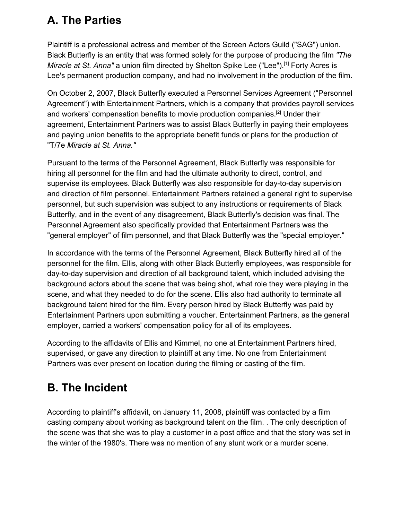### **A. The Parties**

Plaintiff is a professional actress and member of the Screen Actors Guild ("SAG") union. Black Butterfly is an entity that was formed solely for the purpose of producing the film *"The Miracle at St. Anna"* a union film directed by Shelton Spike Lee ("Lee").<sup>[1]</sup> Forty Acres is Lee's permanent production company, and had no involvement in the production of the film.

On October 2, 2007, Black Butterfly executed a Personnel Services Agreement ("Personnel Agreement") with Entertainment Partners, which is a company that provides payroll services and workers' compensation benefits to movie production companies.[2] Under their agreement, Entertainment Partners was to assist Black Butterfly in paying their employees and paying union benefits to the appropriate benefit funds or plans for the production of "T/7e *Miracle at St. Anna."*

Pursuant to the terms of the Personnel Agreement, Black Butterfly was responsible for hiring all personnel for the film and had the ultimate authority to direct, control, and supervise its employees. Black Butterfly was also responsible for day-to-day supervision and direction of film personnel. Entertainment Partners retained a general right to supervise personnel, but such supervision was subject to any instructions or requirements of Black Butterfly, and in the event of any disagreement, Black Butterfly's decision was final. The Personnel Agreement also specifically provided that Entertainment Partners was the "general employer" of film personnel, and that Black Butterfly was the "special employer."

In accordance with the terms of the Personnel Agreement, Black Butterfly hired all of the personnel for the film. Ellis, along with other Black Butterfly employees, was responsible for day-to-day supervision and direction of all background talent, which included advising the background actors about the scene that was being shot, what role they were playing in the scene, and what they needed to do for the scene. Ellis also had authority to terminate all background talent hired for the film. Every person hired by Black Butterfly was paid by Entertainment Partners upon submitting a voucher. Entertainment Partners, as the general employer, carried a workers' compensation policy for all of its employees.

According to the affidavits of Ellis and Kimmel, no one at Entertainment Partners hired, supervised, or gave any direction to plaintiff at any time. No one from Entertainment Partners was ever present on location during the filming or casting of the film.

# **B. The Incident**

According to plaintiff's affidavit, on January 11, 2008, plaintiff was contacted by a film casting company about working as background talent on the film. . The only description of the scene was that she was to play a customer in a post office and that the story was set in the winter of the 1980's. There was no mention of any stunt work or a murder scene.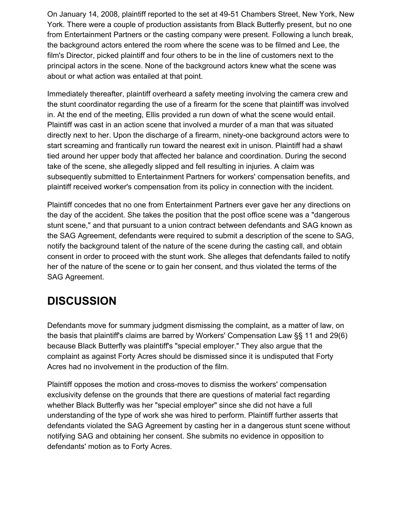On January 14, 2008, plaintiff reported to the set at 49-51 Chambers Street, New York, New York. There were a couple of production assistants from Black Butterfly present, but no one from Entertainment Partners or the casting company were present. Following a lunch break, the background actors entered the room where the scene was to be filmed and Lee, the film's Director, picked plaintiff and four others to be in the line of customers next to the principal actors in the scene. None of the background actors knew what the scene was about or what action was entailed at that point.

Immediately thereafter, plaintiff overheard a safety meeting involving the camera crew and the stunt coordinator regarding the use of a firearm for the scene that plaintiff was involved in. At the end of the meeting, Ellis provided a run down of what the scene would entail. Plaintiff was cast in an action scene that involved a murder of a man that was situated directly next to her. Upon the discharge of a firearm, ninety-one background actors were to start screaming and frantically run toward the nearest exit in unison. Plaintiff had a shawl tied around her upper body that affected her balance and coordination. During the second take of the scene, she allegedly slipped and fell resulting in injuries. A claim was subsequently submitted to Entertainment Partners for workers' compensation benefits, and plaintiff received worker's compensation from its policy in connection with the incident.

Plaintiff concedes that no one from Entertainment Partners ever gave her any directions on the day of the accident. She takes the position that the post office scene was a "dangerous stunt scene," and that pursuant to a union contract between defendants and SAG known as the SAG Agreement, defendants were required to submit a description of the scene to SAG, notify the background talent of the nature of the scene during the casting call, and obtain consent in order to proceed with the stunt work. She alleges that defendants failed to notify her of the nature of the scene or to gain her consent, and thus violated the terms of the SAG Agreement.

# **DISCUSSION**

Defendants move for summary judgment dismissing the complaint, as a matter of law, on the basis that plaintiff's claims are barred by Workers' Compensation Law §§ 11 and 29(6) because Black Butterfly was plaintiff's "special employer." They also argue that the complaint as against Forty Acres should be dismissed since it is undisputed that Forty Acres had no involvement in the production of the film.

Plaintiff opposes the motion and cross-moves to dismiss the workers' compensation exclusivity defense on the grounds that there are questions of material fact regarding whether Black Butterfly was her "special employer" since she did not have a full understanding of the type of work she was hired to perform. Plaintiff further asserts that defendants violated the SAG Agreement by casting her in a dangerous stunt scene without notifying SAG and obtaining her consent. She submits no evidence in opposition to defendants' motion as to Forty Acres.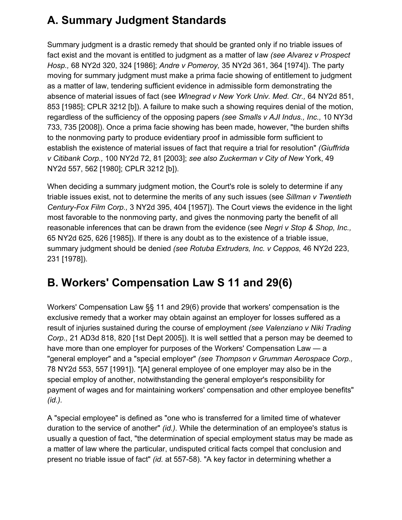# **A. Summary Judgment Standards**

Summary judgment is a drastic remedy that should be granted only if no triable issues of fact exist and the movant is entitled to judgment as a matter of law *(see Alvarez v Prospect Hosp.,* 68 NY2d 320, 324 [1986]; *Andre v Pomeroy,* 35 NY2d 361, 364 [1974]). The party moving for summary judgment must make a prima facie showing of entitlement to judgment as a matter of law, tendering sufficient evidence in admissible form demonstrating the absence of material issues of fact (see *Wlnegrad v New York Univ. Med. Ctr.,* 64 NY2d 851, 853 [1985]; CPLR 3212 [b]). A failure to make such a showing requires denial of the motion, regardless of the sufficiency of the opposing papers *(see Smalls v AJI Indus., Inc.,* 10 NY3d 733, 735 [2008]). Once a prima facie showing has been made, however, "the burden shifts to the nonmoving party to produce evidentiary proof in admissible form sufficient to establish the existence of material issues of fact that require a trial for resolution" *(Giuffrida v Citibank Corp.,* 100 NY2d 72, 81 [2003]; *see also Zuckerman v City of New* York, 49 NY2d 557, 562 [1980]; CPLR 3212 [b]).

When deciding a summary judgment motion, the Court's role is solely to determine if any triable issues exist, not to determine the merits of any such issues (see *Sillman v Twentieth Century-Fox Film Corp.,* 3 NY2d 395, 404 [1957]). The Court views the evidence in the light most favorable to the nonmoving party, and gives the nonmoving party the benefit of all reasonable inferences that can be drawn from the evidence (see *Negri v Stop & Shop, Inc.,* 65 NY2d 625, 626 [1985]). If there is any doubt as to the existence of a triable issue, summary judgment should be denied *(see Rotuba Extruders, Inc. v Ceppos,* 46 NY2d 223, 231 [1978]).

### **B. Workers' Compensation Law S 11 and 29(6)**

Workers' Compensation Law §§ 11 and 29(6) provide that workers' compensation is the exclusive remedy that a worker may obtain against an employer for losses suffered as a result of injuries sustained during the course of employment *(see Valenziano v Niki Trading Corp.,* 21 AD3d 818, 820 [1st Dept 2005]). It is well settled that a person may be deemed to have more than one employer for purposes of the Workers' Compensation Law — a "general employer" and a "special employer" *(see Thompson v Grumman Aerospace Corp.,* 78 NY2d 553, 557 [1991]). "[A] general employee of one employer may also be in the special employ of another, notwithstanding the general employer's responsibility for payment of wages and for maintaining workers' compensation and other employee benefits" *(id.).*

A "special employee" is defined as "one who is transferred for a limited time of whatever duration to the service of another" *(id.).* While the determination of an employee's status is usually a question of fact, "the determination of special employment status may be made as a matter of law where the particular, undisputed critical facts compel that conclusion and present no triable issue of fact" *(id.* at 557-58). "A key factor in determining whether a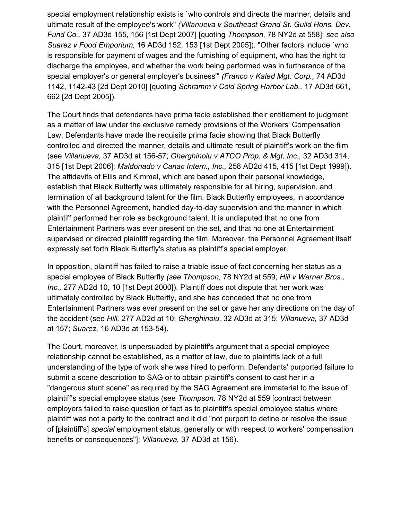special employment relationship exists is `who controls and directs the manner, details and ultimate result of the employee's work" *(Villanueva v Southeast Grand St. Guild Hons. Dev. Fund Co.,* 37 AD3d 155, 156 [1st Dept 2007] [quoting *Thompson,* 78 NY2d at 558]; *see also Suarez v Food Emporium,* 16 AD3d 152, 153 [1st Dept 2005]). "Other factors include `who is responsible for payment of wages and the furnishing of equipment, who has the right to discharge the employee, and whether the work being performed was in furtherance of the special employer's or general employer's business'" *(Franco v Kaled Mgt. Corp.,* 74 AD3d 1142, 1142-43 [2d Dept 2010] [quoting *Schramm v Cold Spring Harbor Lab.,* 17 AD3d 661, 662 [2d Dept 2005]).

The Court finds that defendants have prima facie established their entitlement to judgment as a matter of law under the exclusive remedy provisions of the Workers' Compensation Law. Defendants have made the requisite prima facie showing that Black Butterfly controlled and directed the manner, details and ultimate result of plaintiff's work on the film (see *Villanueva,* 37 AD3d at 156-57; *Gherghinoiu v ATCO Prop. & Mgt, Inc.,* 32 AD3d 314, 315 [1st Dept 2006]; *Maldonado v Canac Intern., Inc.,* 258 AD2d 415, 415 [1st Dept 1999]). The affidavits of Ellis and Kimmel, which are based upon their personal knowledge, establish that Black Butterfly was ultimately responsible for all hiring, supervision, and termination of all background talent for the film. Black Butterfly employees, in accordance with the Personnel Agreement, handled day-to-day supervision and the manner in which plaintiff performed her role as background talent. It is undisputed that no one from Entertainment Partners was ever present on the set, and that no one at Entertainment supervised or directed plaintiff regarding the film. Moreover, the Personnel Agreement itself expressly set forth Black Butterfly's status as plaintiff's special employer.

In opposition, plaintiff has failed to raise a triable issue of fact concerning her status as a special employee of Black Butterfly *(see Thompson,* 78 NY2d at 559; *Hill v Warner Bros., Inc.,* 277 AD2d 10, 10 [1st Dept 2000]). Plaintiff does not dispute that her work was ultimately controlled by Black Butterfly, and she has conceded that no one from Entertainment Partners was ever present on the set or gave her any directions on the day of the accident (see *Hill,* 277 AD2d at 10; *Gherghinoiu,* 32 AD3d at 315; *Villanueva,* 37 AD3d at 157; *Suarez,* 16 AD3d at 153-54).

The Court, moreover, is unpersuaded by plaintiff's argument that a special employee relationship cannot be established, as a matter of law, due to plaintiffs lack of a full understanding of the type of work she was hired to perform. Defendants' purported failure to submit a scene description to SAG or to obtain plaintiff's consent to cast her in a "dangerous stunt scene" as required by the SAG Agreement are immaterial to the issue of plaintiff's special employee status (see *Thompson,* 78 NY2d at 559 [contract between employers failed to raise question of fact as to plaintiff's special employee status where plaintiff was not a party to the contract and it did "not purport to define or resolve the issue of [plaintiff's] *special* employment status, generally or with respect to workers' compensation benefits or consequences"]; *Villanueva,* 37 AD3d at 156).